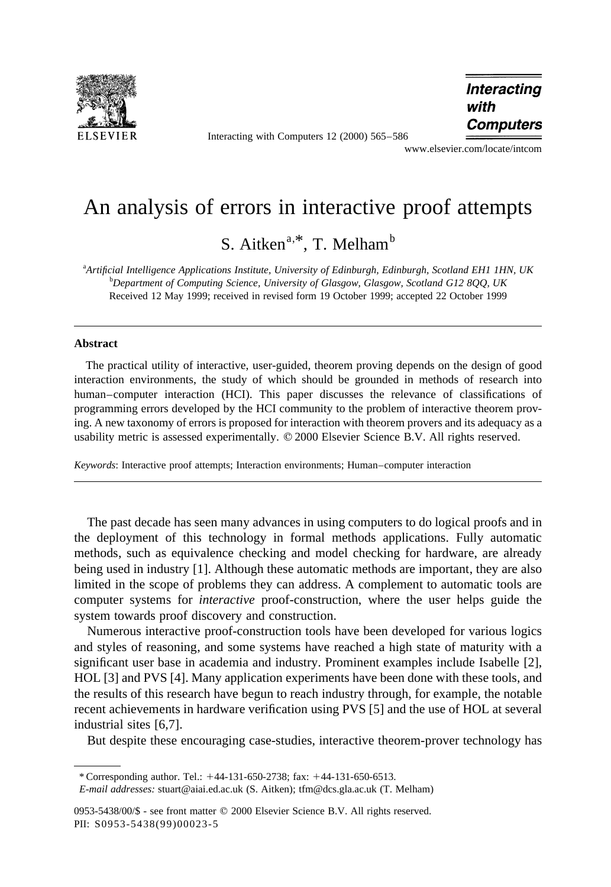

Interacting with Computers 12 (2000) 565–586

Interacting with **Computers** 

www.elsevier.com/locate/intcom

# An analysis of errors in interactive proof attempts

S. Aitken<sup>a,\*</sup>, T. Melham<sup>b</sup>

a *Artificial Intelligence Applications Institute, University of Edinburgh, Edinburgh, Scotland EH1 1HN, UK* b *Department of Computing Science, University of Glasgow, Glasgow, Scotland G12 8QQ, UK* Received 12 May 1999; received in revised form 19 October 1999; accepted 22 October 1999

## **Abstract**

The practical utility of interactive, user-guided, theorem proving depends on the design of good interaction environments, the study of which should be grounded in methods of research into human–computer interaction (HCI). This paper discusses the relevance of classifications of programming errors developed by the HCI community to the problem of interactive theorem proving. A new taxonomy of errors is proposed for interaction with theorem provers and its adequacy as a usability metric is assessed experimentally.  $\heartsuit$  2000 Elsevier Science B.V. All rights reserved.

*Keywords*: Interactive proof attempts; Interaction environments; Human–computer interaction

The past decade has seen many advances in using computers to do logical proofs and in the deployment of this technology in formal methods applications. Fully automatic methods, such as equivalence checking and model checking for hardware, are already being used in industry [1]. Although these automatic methods are important, they are also limited in the scope of problems they can address. A complement to automatic tools are computer systems for *interactive* proof-construction, where the user helps guide the system towards proof discovery and construction.

Numerous interactive proof-construction tools have been developed for various logics and styles of reasoning, and some systems have reached a high state of maturity with a significant user base in academia and industry. Prominent examples include Isabelle [2], HOL [3] and PVS [4]. Many application experiments have been done with these tools, and the results of this research have begun to reach industry through, for example, the notable recent achievements in hardware verification using PVS [5] and the use of HOL at several industrial sites [6,7].

But despite these encouraging case-studies, interactive theorem-prover technology has

<sup>\*</sup> Corresponding author. Tel.:  $+44-131-650-2738$ ; fax:  $+44-131-650-6513$ .

*E-mail addresses:* stuart@aiai.ed.ac.uk (S. Aitken); tfm@dcs.gla.ac.uk (T. Melham)

<sup>0953-5438/00/\$ -</sup> see front matter © 2000 Elsevier Science B.V. All rights reserved. PII: S0953-5438(99)00023-5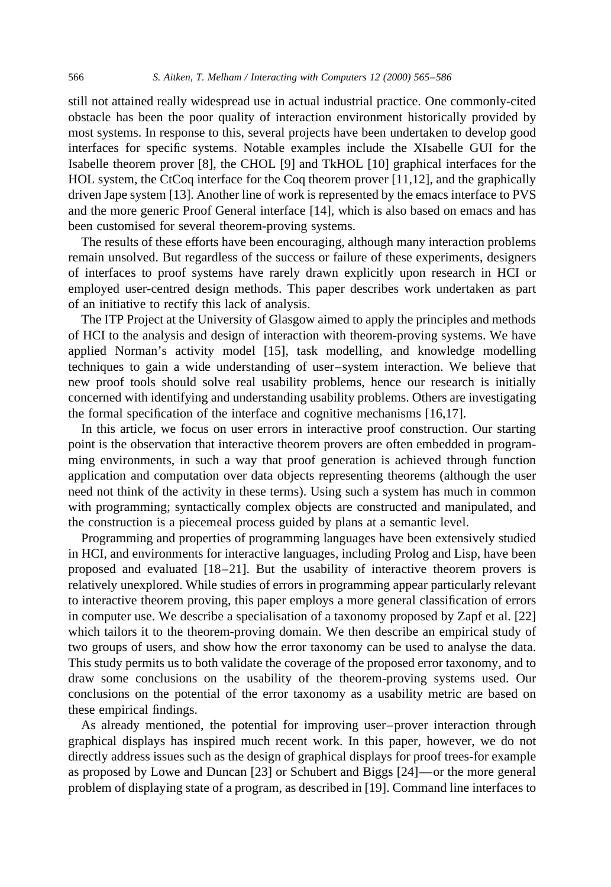still not attained really widespread use in actual industrial practice. One commonly-cited obstacle has been the poor quality of interaction environment historically provided by most systems. In response to this, several projects have been undertaken to develop good interfaces for specific systems. Notable examples include the XIsabelle GUI for the Isabelle theorem prover [8], the CHOL [9] and TkHOL [10] graphical interfaces for the HOL system, the CtCoq interface for the Coq theorem prover [11,12], and the graphically driven Jape system [13]. Another line of work is represented by the emacs interface to PVS and the more generic Proof General interface [14], which is also based on emacs and has been customised for several theorem-proving systems.

The results of these efforts have been encouraging, although many interaction problems remain unsolved. But regardless of the success or failure of these experiments, designers of interfaces to proof systems have rarely drawn explicitly upon research in HCI or employed user-centred design methods. This paper describes work undertaken as part of an initiative to rectify this lack of analysis.

The ITP Project at the University of Glasgow aimed to apply the principles and methods of HCI to the analysis and design of interaction with theorem-proving systems. We have applied Norman's activity model [15], task modelling, and knowledge modelling techniques to gain a wide understanding of user–system interaction. We believe that new proof tools should solve real usability problems, hence our research is initially concerned with identifying and understanding usability problems. Others are investigating the formal specification of the interface and cognitive mechanisms [16,17].

In this article, we focus on user errors in interactive proof construction. Our starting point is the observation that interactive theorem provers are often embedded in programming environments, in such a way that proof generation is achieved through function application and computation over data objects representing theorems (although the user need not think of the activity in these terms). Using such a system has much in common with programming; syntactically complex objects are constructed and manipulated, and the construction is a piecemeal process guided by plans at a semantic level.

Programming and properties of programming languages have been extensively studied in HCI, and environments for interactive languages, including Prolog and Lisp, have been proposed and evaluated [18–21]. But the usability of interactive theorem provers is relatively unexplored. While studies of errors in programming appear particularly relevant to interactive theorem proving, this paper employs a more general classification of errors in computer use. We describe a specialisation of a taxonomy proposed by Zapf et al. [22] which tailors it to the theorem-proving domain. We then describe an empirical study of two groups of users, and show how the error taxonomy can be used to analyse the data. This study permits us to both validate the coverage of the proposed error taxonomy, and to draw some conclusions on the usability of the theorem-proving systems used. Our conclusions on the potential of the error taxonomy as a usability metric are based on these empirical findings.

As already mentioned, the potential for improving user–prover interaction through graphical displays has inspired much recent work. In this paper, however, we do not directly address issues such as the design of graphical displays for proof trees-for example as proposed by Lowe and Duncan [23] or Schubert and Biggs [24]—or the more general problem of displaying state of a program, as described in [19]. Command line interfaces to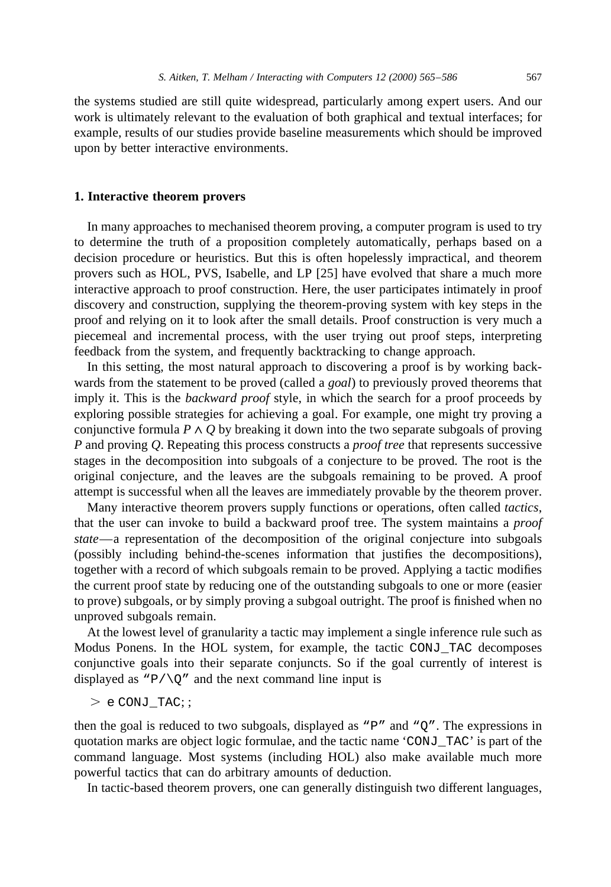the systems studied are still quite widespread, particularly among expert users. And our work is ultimately relevant to the evaluation of both graphical and textual interfaces; for example, results of our studies provide baseline measurements which should be improved upon by better interactive environments.

#### **1. Interactive theorem provers**

In many approaches to mechanised theorem proving, a computer program is used to try to determine the truth of a proposition completely automatically, perhaps based on a decision procedure or heuristics. But this is often hopelessly impractical, and theorem provers such as HOL, PVS, Isabelle, and LP [25] have evolved that share a much more interactive approach to proof construction. Here, the user participates intimately in proof discovery and construction, supplying the theorem-proving system with key steps in the proof and relying on it to look after the small details. Proof construction is very much a piecemeal and incremental process, with the user trying out proof steps, interpreting feedback from the system, and frequently backtracking to change approach.

In this setting, the most natural approach to discovering a proof is by working backwards from the statement to be proved (called a *goal*) to previously proved theorems that imply it. This is the *backward proof* style, in which the search for a proof proceeds by exploring possible strategies for achieving a goal. For example, one might try proving a conjunctive formula *P*  $\land$  *Q* by breaking it down into the two separate subgoals of proving *P* and proving *Q*. Repeating this process constructs a *proof tree* that represents successive stages in the decomposition into subgoals of a conjecture to be proved. The root is the original conjecture, and the leaves are the subgoals remaining to be proved. A proof attempt is successful when all the leaves are immediately provable by the theorem prover.

Many interactive theorem provers supply functions or operations, often called *tactics*, that the user can invoke to build a backward proof tree. The system maintains a *proof state*—a representation of the decomposition of the original conjecture into subgoals (possibly including behind-the-scenes information that justifies the decompositions), together with a record of which subgoals remain to be proved. Applying a tactic modifies the current proof state by reducing one of the outstanding subgoals to one or more (easier to prove) subgoals, or by simply proving a subgoal outright. The proof is finished when no unproved subgoals remain.

At the lowest level of granularity a tactic may implement a single inference rule such as Modus Ponens. In the HOL system, for example, the tactic CONJ\_TAC decomposes conjunctive goals into their separate conjuncts. So if the goal currently of interest is displayed as " $P/\Q'$  and the next command line input is

## $>$  e CONJ\_TAC; ;

then the goal is reduced to two subgoals, displayed as " $P''$  and " $Q''$ . The expressions in quotation marks are object logic formulae, and the tactic name 'CONJ\_TAC' is part of the command language. Most systems (including HOL) also make available much more powerful tactics that can do arbitrary amounts of deduction.

In tactic-based theorem provers, one can generally distinguish two different languages,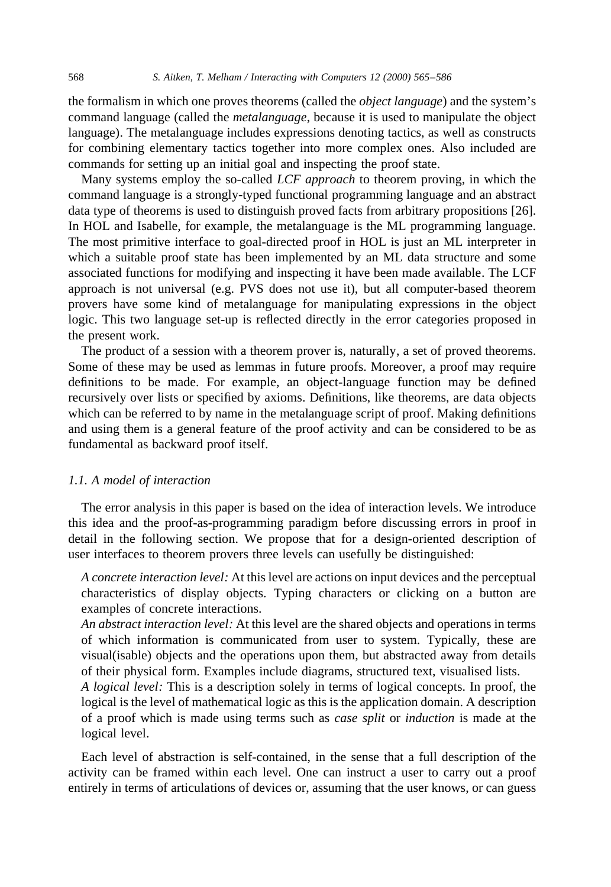the formalism in which one proves theorems (called the *object language*) and the system's command language (called the *metalanguage*, because it is used to manipulate the object language). The metalanguage includes expressions denoting tactics, as well as constructs for combining elementary tactics together into more complex ones. Also included are commands for setting up an initial goal and inspecting the proof state.

Many systems employ the so-called *LCF approach* to theorem proving, in which the command language is a strongly-typed functional programming language and an abstract data type of theorems is used to distinguish proved facts from arbitrary propositions [26]. In HOL and Isabelle, for example, the metalanguage is the ML programming language. The most primitive interface to goal-directed proof in HOL is just an ML interpreter in which a suitable proof state has been implemented by an ML data structure and some associated functions for modifying and inspecting it have been made available. The LCF approach is not universal (e.g. PVS does not use it), but all computer-based theorem provers have some kind of metalanguage for manipulating expressions in the object logic. This two language set-up is reflected directly in the error categories proposed in the present work.

The product of a session with a theorem prover is, naturally, a set of proved theorems. Some of these may be used as lemmas in future proofs. Moreover, a proof may require definitions to be made. For example, an object-language function may be defined recursively over lists or specified by axioms. Definitions, like theorems, are data objects which can be referred to by name in the metalanguage script of proof. Making definitions and using them is a general feature of the proof activity and can be considered to be as fundamental as backward proof itself.

## *1.1. A model of interaction*

The error analysis in this paper is based on the idea of interaction levels. We introduce this idea and the proof-as-programming paradigm before discussing errors in proof in detail in the following section. We propose that for a design-oriented description of user interfaces to theorem provers three levels can usefully be distinguished:

*A concrete interaction level:* At this level are actions on input devices and the perceptual characteristics of display objects. Typing characters or clicking on a button are examples of concrete interactions.

*An abstract interaction level:* At this level are the shared objects and operations in terms of which information is communicated from user to system. Typically, these are visual(isable) objects and the operations upon them, but abstracted away from details of their physical form. Examples include diagrams, structured text, visualised lists.

*A logical level:* This is a description solely in terms of logical concepts. In proof, the logical is the level of mathematical logic as this is the application domain. A description of a proof which is made using terms such as *case split* or *induction* is made at the logical level.

Each level of abstraction is self-contained, in the sense that a full description of the activity can be framed within each level. One can instruct a user to carry out a proof entirely in terms of articulations of devices or, assuming that the user knows, or can guess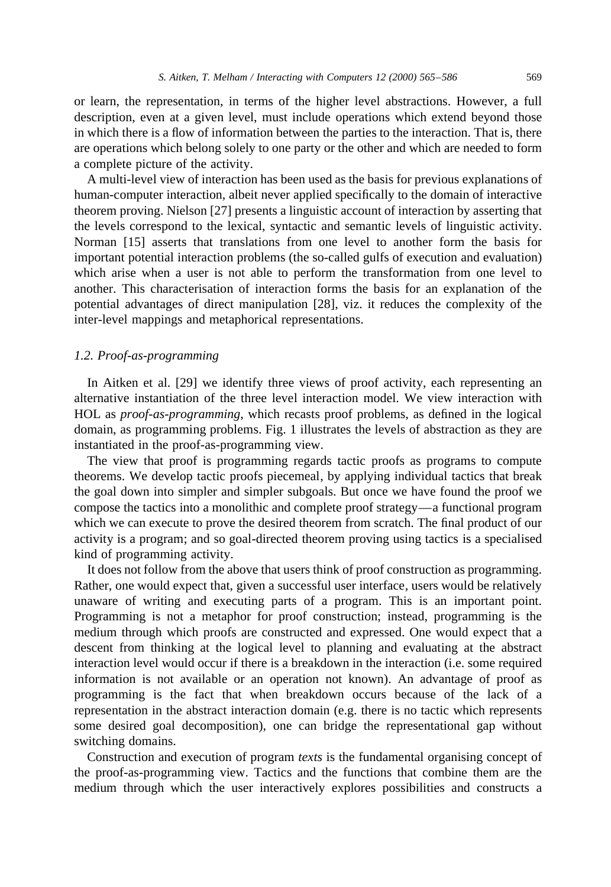or learn, the representation, in terms of the higher level abstractions. However, a full description, even at a given level, must include operations which extend beyond those in which there is a flow of information between the parties to the interaction. That is, there are operations which belong solely to one party or the other and which are needed to form a complete picture of the activity.

A multi-level view of interaction has been used as the basis for previous explanations of human-computer interaction, albeit never applied specifically to the domain of interactive theorem proving. Nielson [27] presents a linguistic account of interaction by asserting that the levels correspond to the lexical, syntactic and semantic levels of linguistic activity. Norman [15] asserts that translations from one level to another form the basis for important potential interaction problems (the so-called gulfs of execution and evaluation) which arise when a user is not able to perform the transformation from one level to another. This characterisation of interaction forms the basis for an explanation of the potential advantages of direct manipulation [28], viz. it reduces the complexity of the inter-level mappings and metaphorical representations.

## *1.2. Proof-as-programming*

In Aitken et al. [29] we identify three views of proof activity, each representing an alternative instantiation of the three level interaction model. We view interaction with HOL as *proof-as-programming*, which recasts proof problems, as defined in the logical domain, as programming problems. Fig. 1 illustrates the levels of abstraction as they are instantiated in the proof-as-programming view.

The view that proof is programming regards tactic proofs as programs to compute theorems. We develop tactic proofs piecemeal, by applying individual tactics that break the goal down into simpler and simpler subgoals. But once we have found the proof we compose the tactics into a monolithic and complete proof strategy—a functional program which we can execute to prove the desired theorem from scratch. The final product of our activity is a program; and so goal-directed theorem proving using tactics is a specialised kind of programming activity.

It does not follow from the above that users think of proof construction as programming. Rather, one would expect that, given a successful user interface, users would be relatively unaware of writing and executing parts of a program. This is an important point. Programming is not a metaphor for proof construction; instead, programming is the medium through which proofs are constructed and expressed. One would expect that a descent from thinking at the logical level to planning and evaluating at the abstract interaction level would occur if there is a breakdown in the interaction (i.e. some required information is not available or an operation not known). An advantage of proof as programming is the fact that when breakdown occurs because of the lack of a representation in the abstract interaction domain (e.g. there is no tactic which represents some desired goal decomposition), one can bridge the representational gap without switching domains.

Construction and execution of program *texts* is the fundamental organising concept of the proof-as-programming view. Tactics and the functions that combine them are the medium through which the user interactively explores possibilities and constructs a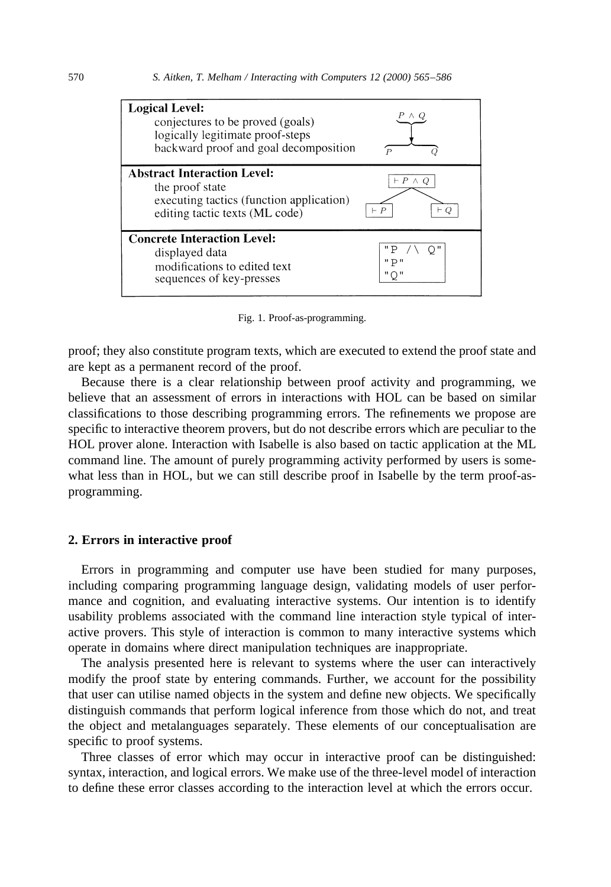| <b>Logical Level:</b><br>conjectures to be proved (goals)<br>logically legitimate proof-steps<br>backward proof and goal decomposition | $P \, \wedge \, Q$                         |
|----------------------------------------------------------------------------------------------------------------------------------------|--------------------------------------------|
| <b>Abstract Interaction Level:</b><br>the proof state<br>executing tactics (function application)<br>editing tactic texts (ML code)    | $\vdash P \land O$<br>$\overline{P}$<br>٠, |
| <b>Concrete Interaction Level:</b><br>displayed data<br>modifications to edited text<br>sequences of key-presses                       | יי כך יי<br>"∩"                            |

Fig. 1. Proof-as-programming.

proof; they also constitute program texts, which are executed to extend the proof state and are kept as a permanent record of the proof.

Because there is a clear relationship between proof activity and programming, we believe that an assessment of errors in interactions with HOL can be based on similar classifications to those describing programming errors. The refinements we propose are specific to interactive theorem provers, but do not describe errors which are peculiar to the HOL prover alone. Interaction with Isabelle is also based on tactic application at the ML command line. The amount of purely programming activity performed by users is somewhat less than in HOL, but we can still describe proof in Isabelle by the term proof-asprogramming.

# **2. Errors in interactive proof**

Errors in programming and computer use have been studied for many purposes, including comparing programming language design, validating models of user performance and cognition, and evaluating interactive systems. Our intention is to identify usability problems associated with the command line interaction style typical of interactive provers. This style of interaction is common to many interactive systems which operate in domains where direct manipulation techniques are inappropriate.

The analysis presented here is relevant to systems where the user can interactively modify the proof state by entering commands. Further, we account for the possibility that user can utilise named objects in the system and define new objects. We specifically distinguish commands that perform logical inference from those which do not, and treat the object and metalanguages separately. These elements of our conceptualisation are specific to proof systems.

Three classes of error which may occur in interactive proof can be distinguished: syntax, interaction, and logical errors. We make use of the three-level model of interaction to define these error classes according to the interaction level at which the errors occur.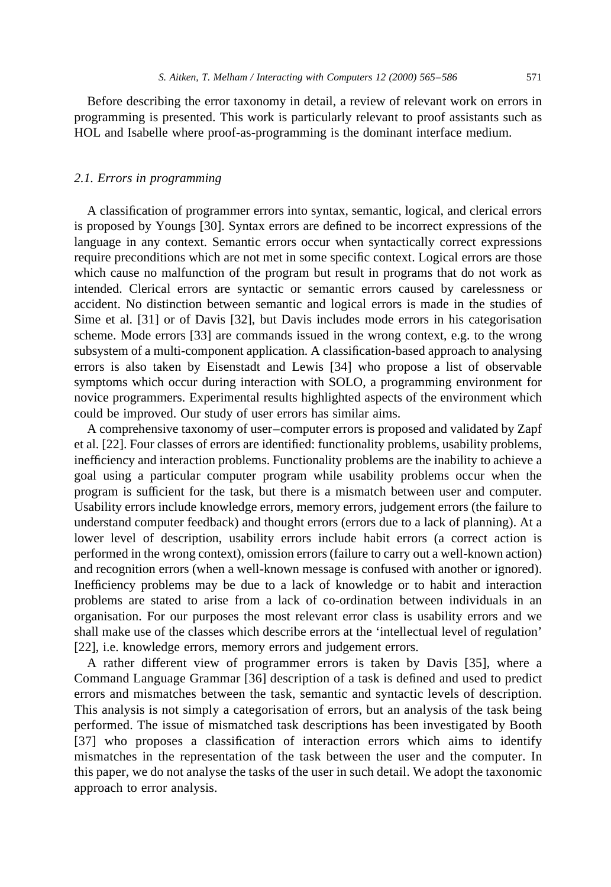Before describing the error taxonomy in detail, a review of relevant work on errors in programming is presented. This work is particularly relevant to proof assistants such as HOL and Isabelle where proof-as-programming is the dominant interface medium.

# *2.1. Errors in programming*

A classification of programmer errors into syntax, semantic, logical, and clerical errors is proposed by Youngs [30]. Syntax errors are defined to be incorrect expressions of the language in any context. Semantic errors occur when syntactically correct expressions require preconditions which are not met in some specific context. Logical errors are those which cause no malfunction of the program but result in programs that do not work as intended. Clerical errors are syntactic or semantic errors caused by carelessness or accident. No distinction between semantic and logical errors is made in the studies of Sime et al. [31] or of Davis [32], but Davis includes mode errors in his categorisation scheme. Mode errors [33] are commands issued in the wrong context, e.g. to the wrong subsystem of a multi-component application. A classification-based approach to analysing errors is also taken by Eisenstadt and Lewis [34] who propose a list of observable symptoms which occur during interaction with SOLO, a programming environment for novice programmers. Experimental results highlighted aspects of the environment which could be improved. Our study of user errors has similar aims.

A comprehensive taxonomy of user–computer errors is proposed and validated by Zapf et al. [22]. Four classes of errors are identified: functionality problems, usability problems, inefficiency and interaction problems. Functionality problems are the inability to achieve a goal using a particular computer program while usability problems occur when the program is sufficient for the task, but there is a mismatch between user and computer. Usability errors include knowledge errors, memory errors, judgement errors (the failure to understand computer feedback) and thought errors (errors due to a lack of planning). At a lower level of description, usability errors include habit errors (a correct action is performed in the wrong context), omission errors (failure to carry out a well-known action) and recognition errors (when a well-known message is confused with another or ignored). Inefficiency problems may be due to a lack of knowledge or to habit and interaction problems are stated to arise from a lack of co-ordination between individuals in an organisation. For our purposes the most relevant error class is usability errors and we shall make use of the classes which describe errors at the 'intellectual level of regulation' [22], i.e. knowledge errors, memory errors and judgement errors.

A rather different view of programmer errors is taken by Davis [35], where a Command Language Grammar [36] description of a task is defined and used to predict errors and mismatches between the task, semantic and syntactic levels of description. This analysis is not simply a categorisation of errors, but an analysis of the task being performed. The issue of mismatched task descriptions has been investigated by Booth [37] who proposes a classification of interaction errors which aims to identify mismatches in the representation of the task between the user and the computer. In this paper, we do not analyse the tasks of the user in such detail. We adopt the taxonomic approach to error analysis.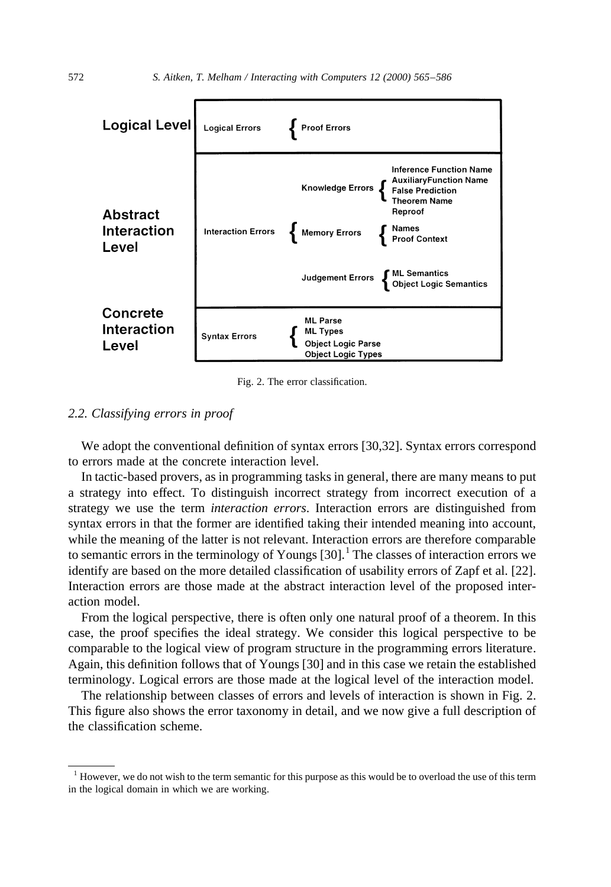

Fig. 2. The error classification.

## *2.2. Classifying errors in proof*

We adopt the conventional definition of syntax errors [30,32]. Syntax errors correspond to errors made at the concrete interaction level.

In tactic-based provers, as in programming tasks in general, there are many means to put a strategy into effect. To distinguish incorrect strategy from incorrect execution of a strategy we use the term *interaction errors*. Interaction errors are distinguished from syntax errors in that the former are identified taking their intended meaning into account, while the meaning of the latter is not relevant. Interaction errors are therefore comparable to semantic errors in the terminology of Youngs  $[30]$ .<sup>1</sup> The classes of interaction errors we identify are based on the more detailed classification of usability errors of Zapf et al. [22]. Interaction errors are those made at the abstract interaction level of the proposed interaction model.

From the logical perspective, there is often only one natural proof of a theorem. In this case, the proof specifies the ideal strategy. We consider this logical perspective to be comparable to the logical view of program structure in the programming errors literature. Again, this definition follows that of Youngs [30] and in this case we retain the established terminology. Logical errors are those made at the logical level of the interaction model.

The relationship between classes of errors and levels of interaction is shown in Fig. 2. This figure also shows the error taxonomy in detail, and we now give a full description of the classification scheme.

<sup>&</sup>lt;sup>1</sup> However, we do not wish to the term semantic for this purpose as this would be to overload the use of this term in the logical domain in which we are working.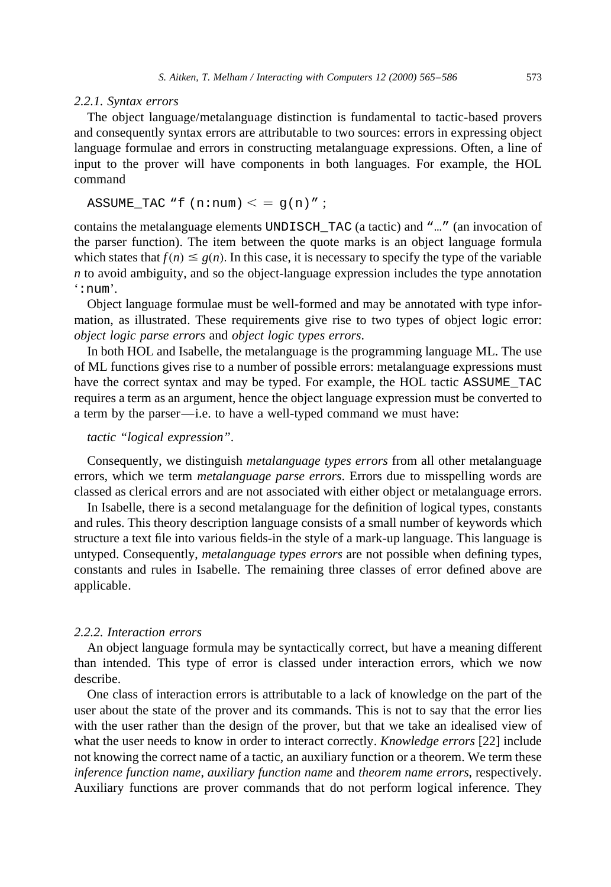#### *2.2.1. Syntax errors*

The object language/metalanguage distinction is fundamental to tactic-based provers and consequently syntax errors are attributable to two sources: errors in expressing object language formulae and errors in constructing metalanguage expressions. Often, a line of input to the prover will have components in both languages. For example, the HOL command

ASSUME TAC "f  $(n:num) < = q(n)$ ";

contains the metalanguage elements UNDISCH\_TAC (a tactic) and "…" (an invocation of the parser function). The item between the quote marks is an object language formula which states that  $f(n) \leq g(n)$ . In this case, it is necessary to specify the type of the variable *n* to avoid ambiguity, and so the object-language expression includes the type annotation ':num'.

Object language formulae must be well-formed and may be annotated with type information, as illustrated. These requirements give rise to two types of object logic error: *object logic parse errors* and *object logic types errors*.

In both HOL and Isabelle, the metalanguage is the programming language ML. The use of ML functions gives rise to a number of possible errors: metalanguage expressions must have the correct syntax and may be typed. For example, the HOL tactic ASSUME TAC requires a term as an argument, hence the object language expression must be converted to a term by the parser—i.e. to have a well-typed command we must have:

#### *tactic "logical expression"*.

Consequently, we distinguish *metalanguage types errors* from all other metalanguage errors, which we term *metalanguage parse errors*. Errors due to misspelling words are classed as clerical errors and are not associated with either object or metalanguage errors.

In Isabelle, there is a second metalanguage for the definition of logical types, constants and rules. This theory description language consists of a small number of keywords which structure a text file into various fields-in the style of a mark-up language. This language is untyped. Consequently, *metalanguage types errors* are not possible when defining types, constants and rules in Isabelle. The remaining three classes of error defined above are applicable.

#### *2.2.2. Interaction errors*

An object language formula may be syntactically correct, but have a meaning different than intended. This type of error is classed under interaction errors, which we now describe.

One class of interaction errors is attributable to a lack of knowledge on the part of the user about the state of the prover and its commands. This is not to say that the error lies with the user rather than the design of the prover, but that we take an idealised view of what the user needs to know in order to interact correctly. *Knowledge errors* [22] include not knowing the correct name of a tactic, an auxiliary function or a theorem. We term these *inference function name*, *auxiliary function name* and *theorem name errors*, respectively. Auxiliary functions are prover commands that do not perform logical inference. They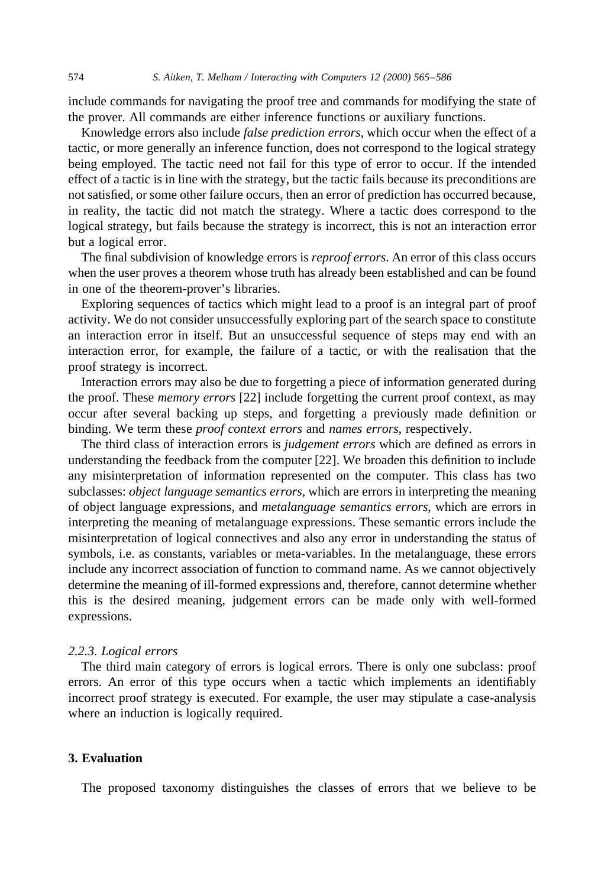include commands for navigating the proof tree and commands for modifying the state of the prover. All commands are either inference functions or auxiliary functions.

Knowledge errors also include *false prediction errors*, which occur when the effect of a tactic, or more generally an inference function, does not correspond to the logical strategy being employed. The tactic need not fail for this type of error to occur. If the intended effect of a tactic is in line with the strategy, but the tactic fails because its preconditions are not satisfied, or some other failure occurs, then an error of prediction has occurred because, in reality, the tactic did not match the strategy. Where a tactic does correspond to the logical strategy, but fails because the strategy is incorrect, this is not an interaction error but a logical error.

The final subdivision of knowledge errors is *reproof errors*. An error of this class occurs when the user proves a theorem whose truth has already been established and can be found in one of the theorem-prover's libraries.

Exploring sequences of tactics which might lead to a proof is an integral part of proof activity. We do not consider unsuccessfully exploring part of the search space to constitute an interaction error in itself. But an unsuccessful sequence of steps may end with an interaction error, for example, the failure of a tactic, or with the realisation that the proof strategy is incorrect.

Interaction errors may also be due to forgetting a piece of information generated during the proof. These *memory errors* [22] include forgetting the current proof context, as may occur after several backing up steps, and forgetting a previously made definition or binding. We term these *proof context errors* and *names errors*, respectively.

The third class of interaction errors is *judgement errors* which are defined as errors in understanding the feedback from the computer [22]. We broaden this definition to include any misinterpretation of information represented on the computer. This class has two subclasses: *object language semantics errors*, which are errors in interpreting the meaning of object language expressions, and *metalanguage semantics errors*, which are errors in interpreting the meaning of metalanguage expressions. These semantic errors include the misinterpretation of logical connectives and also any error in understanding the status of symbols, i.e. as constants, variables or meta-variables. In the metalanguage, these errors include any incorrect association of function to command name. As we cannot objectively determine the meaning of ill-formed expressions and, therefore, cannot determine whether this is the desired meaning, judgement errors can be made only with well-formed expressions.

#### *2.2.3. Logical errors*

The third main category of errors is logical errors. There is only one subclass: proof errors. An error of this type occurs when a tactic which implements an identifiably incorrect proof strategy is executed. For example, the user may stipulate a case-analysis where an induction is logically required.

# **3. Evaluation**

The proposed taxonomy distinguishes the classes of errors that we believe to be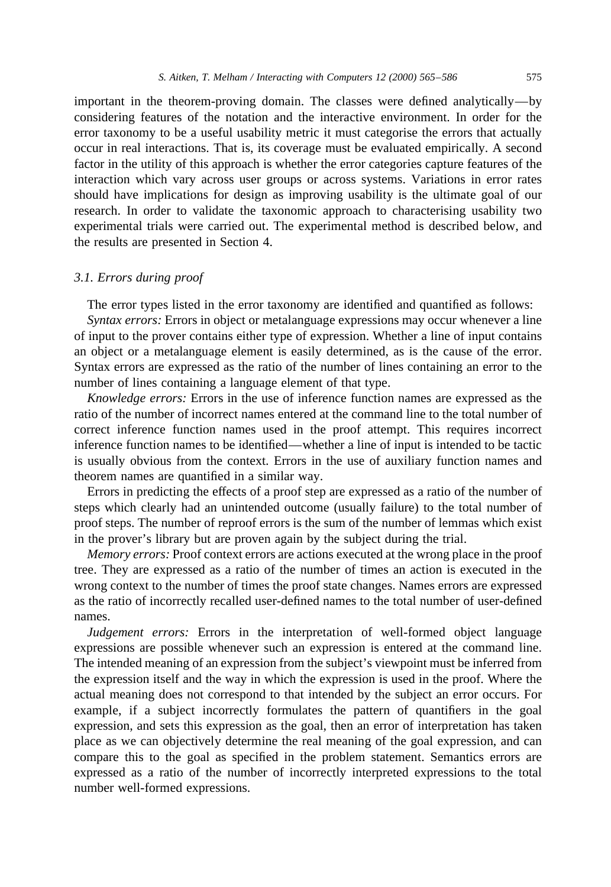important in the theorem-proving domain. The classes were defined analytically—by considering features of the notation and the interactive environment. In order for the error taxonomy to be a useful usability metric it must categorise the errors that actually occur in real interactions. That is, its coverage must be evaluated empirically. A second factor in the utility of this approach is whether the error categories capture features of the interaction which vary across user groups or across systems. Variations in error rates should have implications for design as improving usability is the ultimate goal of our research. In order to validate the taxonomic approach to characterising usability two experimental trials were carried out. The experimental method is described below, and the results are presented in Section 4.

### *3.1. Errors during proof*

The error types listed in the error taxonomy are identified and quantified as follows:

*Syntax errors:* Errors in object or metalanguage expressions may occur whenever a line of input to the prover contains either type of expression. Whether a line of input contains an object or a metalanguage element is easily determined, as is the cause of the error. Syntax errors are expressed as the ratio of the number of lines containing an error to the number of lines containing a language element of that type.

*Knowledge errors:* Errors in the use of inference function names are expressed as the ratio of the number of incorrect names entered at the command line to the total number of correct inference function names used in the proof attempt. This requires incorrect inference function names to be identified—whether a line of input is intended to be tactic is usually obvious from the context. Errors in the use of auxiliary function names and theorem names are quantified in a similar way.

Errors in predicting the effects of a proof step are expressed as a ratio of the number of steps which clearly had an unintended outcome (usually failure) to the total number of proof steps. The number of reproof errors is the sum of the number of lemmas which exist in the prover's library but are proven again by the subject during the trial.

*Memory errors:* Proof context errors are actions executed at the wrong place in the proof tree. They are expressed as a ratio of the number of times an action is executed in the wrong context to the number of times the proof state changes. Names errors are expressed as the ratio of incorrectly recalled user-defined names to the total number of user-defined names.

*Judgement errors:* Errors in the interpretation of well-formed object language expressions are possible whenever such an expression is entered at the command line. The intended meaning of an expression from the subject's viewpoint must be inferred from the expression itself and the way in which the expression is used in the proof. Where the actual meaning does not correspond to that intended by the subject an error occurs. For example, if a subject incorrectly formulates the pattern of quantifiers in the goal expression, and sets this expression as the goal, then an error of interpretation has taken place as we can objectively determine the real meaning of the goal expression, and can compare this to the goal as specified in the problem statement. Semantics errors are expressed as a ratio of the number of incorrectly interpreted expressions to the total number well-formed expressions.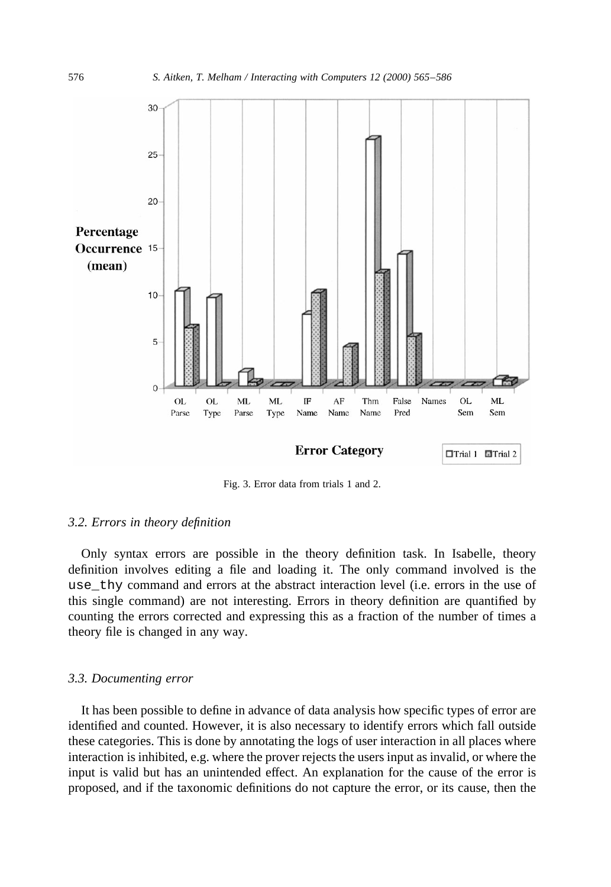

Fig. 3. Error data from trials 1 and 2.

#### *3.2. Errors in theory definition*

Only syntax errors are possible in the theory definition task. In Isabelle, theory definition involves editing a file and loading it. The only command involved is the use\_thy command and errors at the abstract interaction level (i.e. errors in the use of this single command) are not interesting. Errors in theory definition are quantified by counting the errors corrected and expressing this as a fraction of the number of times a theory file is changed in any way.

#### *3.3. Documenting error*

It has been possible to define in advance of data analysis how specific types of error are identified and counted. However, it is also necessary to identify errors which fall outside these categories. This is done by annotating the logs of user interaction in all places where interaction is inhibited, e.g. where the prover rejects the users input as invalid, or where the input is valid but has an unintended effect. An explanation for the cause of the error is proposed, and if the taxonomic definitions do not capture the error, or its cause, then the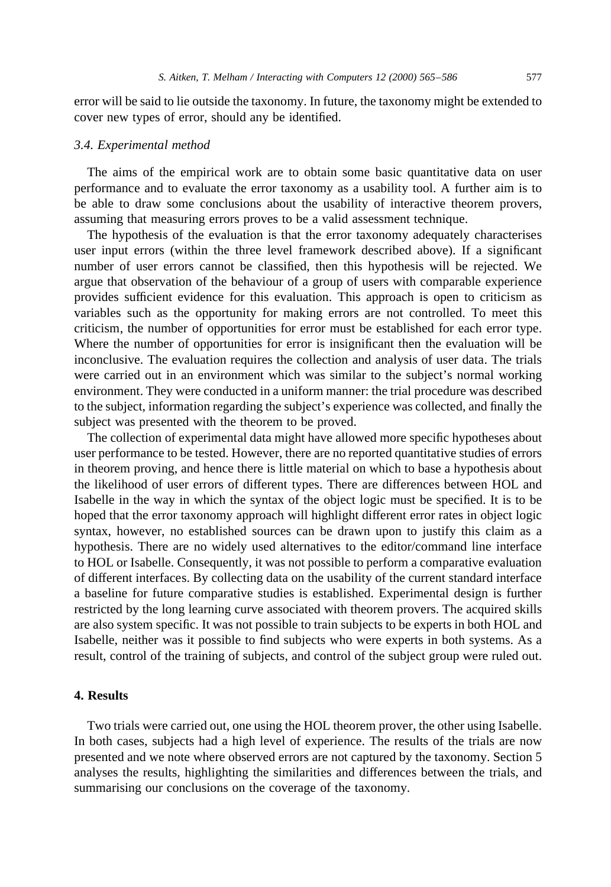error will be said to lie outside the taxonomy. In future, the taxonomy might be extended to cover new types of error, should any be identified.

#### *3.4. Experimental method*

The aims of the empirical work are to obtain some basic quantitative data on user performance and to evaluate the error taxonomy as a usability tool. A further aim is to be able to draw some conclusions about the usability of interactive theorem provers, assuming that measuring errors proves to be a valid assessment technique.

The hypothesis of the evaluation is that the error taxonomy adequately characterises user input errors (within the three level framework described above). If a significant number of user errors cannot be classified, then this hypothesis will be rejected. We argue that observation of the behaviour of a group of users with comparable experience provides sufficient evidence for this evaluation. This approach is open to criticism as variables such as the opportunity for making errors are not controlled. To meet this criticism, the number of opportunities for error must be established for each error type. Where the number of opportunities for error is insignificant then the evaluation will be inconclusive. The evaluation requires the collection and analysis of user data. The trials were carried out in an environment which was similar to the subject's normal working environment. They were conducted in a uniform manner: the trial procedure was described to the subject, information regarding the subject's experience was collected, and finally the subject was presented with the theorem to be proved.

The collection of experimental data might have allowed more specific hypotheses about user performance to be tested. However, there are no reported quantitative studies of errors in theorem proving, and hence there is little material on which to base a hypothesis about the likelihood of user errors of different types. There are differences between HOL and Isabelle in the way in which the syntax of the object logic must be specified. It is to be hoped that the error taxonomy approach will highlight different error rates in object logic syntax, however, no established sources can be drawn upon to justify this claim as a hypothesis. There are no widely used alternatives to the editor/command line interface to HOL or Isabelle. Consequently, it was not possible to perform a comparative evaluation of different interfaces. By collecting data on the usability of the current standard interface a baseline for future comparative studies is established. Experimental design is further restricted by the long learning curve associated with theorem provers. The acquired skills are also system specific. It was not possible to train subjects to be experts in both HOL and Isabelle, neither was it possible to find subjects who were experts in both systems. As a result, control of the training of subjects, and control of the subject group were ruled out.

# **4. Results**

Two trials were carried out, one using the HOL theorem prover, the other using Isabelle. In both cases, subjects had a high level of experience. The results of the trials are now presented and we note where observed errors are not captured by the taxonomy. Section 5 analyses the results, highlighting the similarities and differences between the trials, and summarising our conclusions on the coverage of the taxonomy.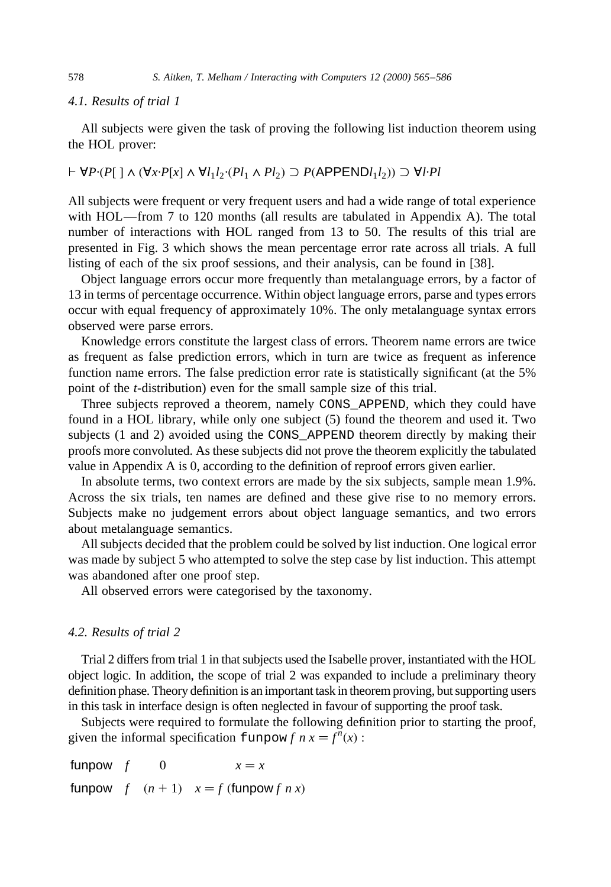## *4.1. Results of trial 1*

All subjects were given the task of proving the following list induction theorem using the HOL prover:

# $\forall P \cdot (P[ \ ] \land (\forall x \cdot P[x] \land \forall l_1 l_2 \cdot (Pl_1 \land Pl_2) \supset P(\text{APPENDl}_1 l_2)) \supset \forall l \cdot Pl$

All subjects were frequent or very frequent users and had a wide range of total experience with HOL—from 7 to 120 months (all results are tabulated in Appendix A). The total number of interactions with HOL ranged from 13 to 50. The results of this trial are presented in Fig. 3 which shows the mean percentage error rate across all trials. A full listing of each of the six proof sessions, and their analysis, can be found in [38].

Object language errors occur more frequently than metalanguage errors, by a factor of 13 in terms of percentage occurrence. Within object language errors, parse and types errors occur with equal frequency of approximately 10%. The only metalanguage syntax errors observed were parse errors.

Knowledge errors constitute the largest class of errors. Theorem name errors are twice as frequent as false prediction errors, which in turn are twice as frequent as inference function name errors. The false prediction error rate is statistically significant (at the 5% point of the *t*-distribution) even for the small sample size of this trial.

Three subjects reproved a theorem, namely CONS\_APPEND, which they could have found in a HOL library, while only one subject (5) found the theorem and used it. Two subjects (1 and 2) avoided using the CONS\_APPEND theorem directly by making their proofs more convoluted. As these subjects did not prove the theorem explicitly the tabulated value in Appendix A is 0, according to the definition of reproof errors given earlier.

In absolute terms, two context errors are made by the six subjects, sample mean 1.9%. Across the six trials, ten names are defined and these give rise to no memory errors. Subjects make no judgement errors about object language semantics, and two errors about metalanguage semantics.

All subjects decided that the problem could be solved by list induction. One logical error was made by subject 5 who attempted to solve the step case by list induction. This attempt was abandoned after one proof step.

All observed errors were categorised by the taxonomy.

## *4.2. Results of trial 2*

Trial 2 differs from trial 1 in that subjects used the Isabelle prover, instantiated with the HOL object logic. In addition, the scope of trial 2 was expanded to include a preliminary theory definition phase. Theory definition is an important task in theorem proving, but supporting users in this task in interface design is often neglected in favour of supporting the proof task.

Subjects were required to formulate the following definition prior to starting the proof, given the informal specification  $\text{funpow } f \text{ } n \text{ } x = f^n(x)$ :

funpow  $f$  0  $x = x$ funpow  $f(n+1)$   $x = f$  (funpow  $f \, n \, x$ )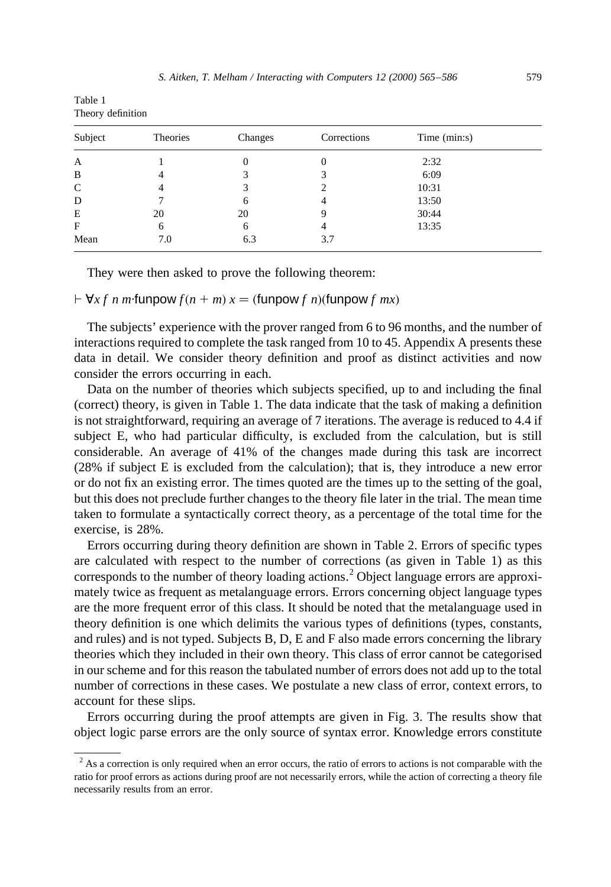| Subject       | Theories | Changes | Corrections | Time (min:s) |  |
|---------------|----------|---------|-------------|--------------|--|
| А             |          |         |             | 2:32         |  |
| B             |          |         |             | 6:09         |  |
| $\mathcal{C}$ |          |         |             | 10:31        |  |
| D             |          | h       |             | 13:50        |  |
| E             | 20       | 20      |             | 30:44        |  |
| F             | 6        | 6       |             | 13:35        |  |
| Mean          | 7.0      | 6.3     | 3.7         |              |  |

| Table 1 |                   |
|---------|-------------------|
|         | Theory definition |

They were then asked to prove the following theorem:

 $\forall x \in \mathcal{F}$  *n m*·funpow  $f(n + m)x = (\text{funpow } f n)(\text{funpow } f mx)$ 

The subjects' experience with the prover ranged from 6 to 96 months, and the number of interactions required to complete the task ranged from 10 to 45. Appendix A presents these data in detail. We consider theory definition and proof as distinct activities and now consider the errors occurring in each.

Data on the number of theories which subjects specified, up to and including the final (correct) theory, is given in Table 1. The data indicate that the task of making a definition is not straightforward, requiring an average of 7 iterations. The average is reduced to 4.4 if subject E, who had particular difficulty, is excluded from the calculation, but is still considerable. An average of 41% of the changes made during this task are incorrect (28% if subject E is excluded from the calculation); that is, they introduce a new error or do not fix an existing error. The times quoted are the times up to the setting of the goal, but this does not preclude further changes to the theory file later in the trial. The mean time taken to formulate a syntactically correct theory, as a percentage of the total time for the exercise, is 28%.

Errors occurring during theory definition are shown in Table 2. Errors of specific types are calculated with respect to the number of corrections (as given in Table 1) as this corresponds to the number of theory loading actions.<sup>2</sup> Object language errors are approximately twice as frequent as metalanguage errors. Errors concerning object language types are the more frequent error of this class. It should be noted that the metalanguage used in theory definition is one which delimits the various types of definitions (types, constants, and rules) and is not typed. Subjects B, D, E and F also made errors concerning the library theories which they included in their own theory. This class of error cannot be categorised in our scheme and for this reason the tabulated number of errors does not add up to the total number of corrections in these cases. We postulate a new class of error, context errors, to account for these slips.

Errors occurring during the proof attempts are given in Fig. 3. The results show that object logic parse errors are the only source of syntax error. Knowledge errors constitute

 $<sup>2</sup>$  As a correction is only required when an error occurs, the ratio of errors to actions is not comparable with the</sup> ratio for proof errors as actions during proof are not necessarily errors, while the action of correcting a theory file necessarily results from an error.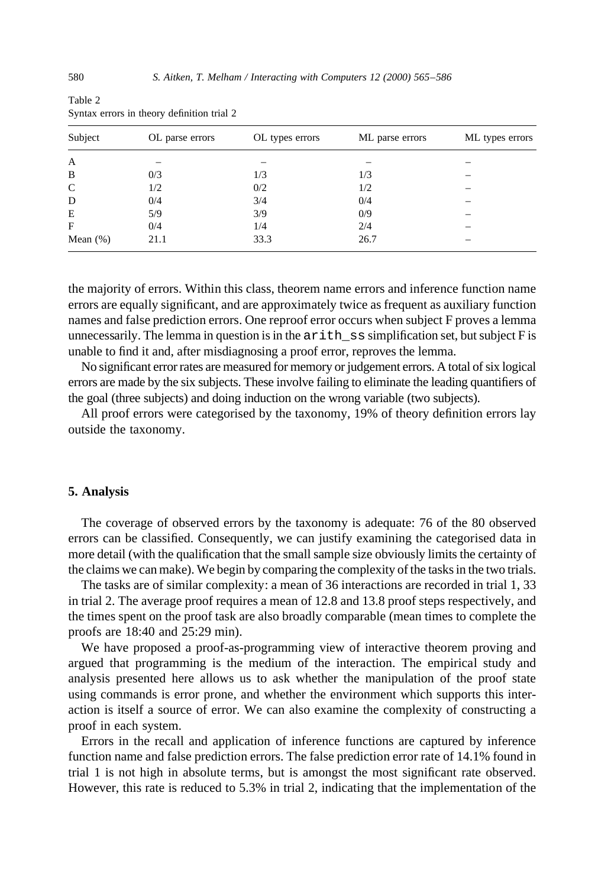| Subject       | OL parse errors | OL types errors | ML parse errors | ML types errors |
|---------------|-----------------|-----------------|-----------------|-----------------|
| A             |                 |                 |                 |                 |
| B             | 0/3             | 1/3             | 1/3             |                 |
| $\mathcal{C}$ | 1/2             | 0/2             | 1/2             |                 |
| D             | 0/4             | 3/4             | 0/4             |                 |
| E             | 5/9             | 3/9             | 0/9             |                 |
| $_{\rm F}$    | 0/4             | 1/4             | 2/4             |                 |
| Mean $(\%)$   | 21.1            | 33.3            | 26.7            |                 |

| Table 2                                    |  |  |
|--------------------------------------------|--|--|
| Syntax errors in theory definition trial 2 |  |  |

the majority of errors. Within this class, theorem name errors and inference function name errors are equally significant, and are approximately twice as frequent as auxiliary function names and false prediction errors. One reproof error occurs when subject F proves a lemma unnecessarily. The lemma in question is in the arith\_ss simplification set, but subject F is unable to find it and, after misdiagnosing a proof error, reproves the lemma.

No significant error rates are measured for memory or judgement errors. A total of six logical errors are made by the six subjects. These involve failing to eliminate the leading quantifiers of the goal (three subjects) and doing induction on the wrong variable (two subjects).

All proof errors were categorised by the taxonomy, 19% of theory definition errors lay outside the taxonomy.

## **5. Analysis**

The coverage of observed errors by the taxonomy is adequate: 76 of the 80 observed errors can be classified. Consequently, we can justify examining the categorised data in more detail (with the qualification that the small sample size obviously limits the certainty of the claims we can make). We begin by comparing the complexity of the tasks in the two trials.

The tasks are of similar complexity: a mean of 36 interactions are recorded in trial 1, 33 in trial 2. The average proof requires a mean of 12.8 and 13.8 proof steps respectively, and the times spent on the proof task are also broadly comparable (mean times to complete the proofs are 18:40 and 25:29 min).

We have proposed a proof-as-programming view of interactive theorem proving and argued that programming is the medium of the interaction. The empirical study and analysis presented here allows us to ask whether the manipulation of the proof state using commands is error prone, and whether the environment which supports this interaction is itself a source of error. We can also examine the complexity of constructing a proof in each system.

Errors in the recall and application of inference functions are captured by inference function name and false prediction errors. The false prediction error rate of 14.1% found in trial 1 is not high in absolute terms, but is amongst the most significant rate observed. However, this rate is reduced to 5.3% in trial 2, indicating that the implementation of the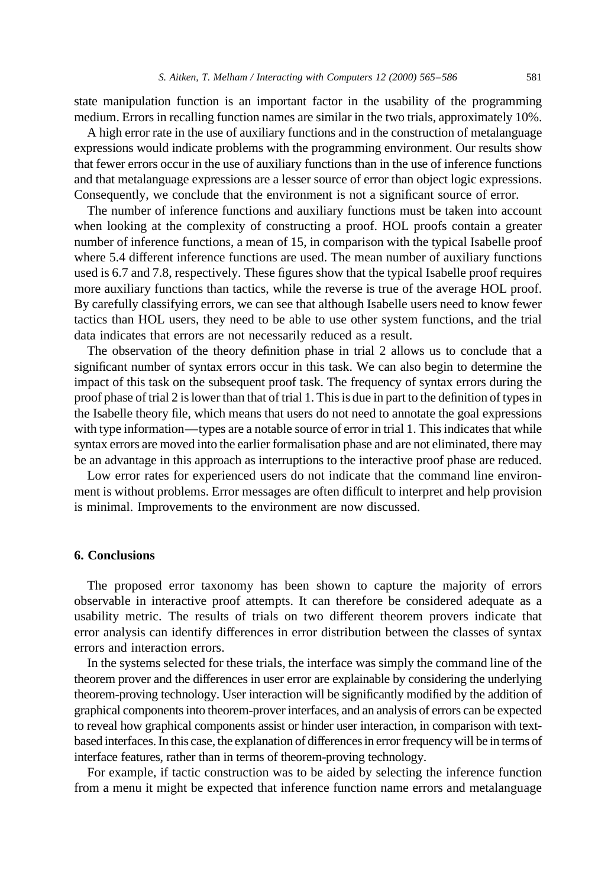state manipulation function is an important factor in the usability of the programming medium. Errors in recalling function names are similar in the two trials, approximately 10%.

A high error rate in the use of auxiliary functions and in the construction of metalanguage expressions would indicate problems with the programming environment. Our results show that fewer errors occur in the use of auxiliary functions than in the use of inference functions and that metalanguage expressions are a lesser source of error than object logic expressions. Consequently, we conclude that the environment is not a significant source of error.

The number of inference functions and auxiliary functions must be taken into account when looking at the complexity of constructing a proof. HOL proofs contain a greater number of inference functions, a mean of 15, in comparison with the typical Isabelle proof where 5.4 different inference functions are used. The mean number of auxiliary functions used is 6.7 and 7.8, respectively. These figures show that the typical Isabelle proof requires more auxiliary functions than tactics, while the reverse is true of the average HOL proof. By carefully classifying errors, we can see that although Isabelle users need to know fewer tactics than HOL users, they need to be able to use other system functions, and the trial data indicates that errors are not necessarily reduced as a result.

The observation of the theory definition phase in trial 2 allows us to conclude that a significant number of syntax errors occur in this task. We can also begin to determine the impact of this task on the subsequent proof task. The frequency of syntax errors during the proof phase of trial 2 is lower than that of trial 1. This is due in part to the definition of types in the Isabelle theory file, which means that users do not need to annotate the goal expressions with type information—types are a notable source of error in trial 1. This indicates that while syntax errors are moved into the earlier formalisation phase and are not eliminated, there may be an advantage in this approach as interruptions to the interactive proof phase are reduced.

Low error rates for experienced users do not indicate that the command line environment is without problems. Error messages are often difficult to interpret and help provision is minimal. Improvements to the environment are now discussed.

#### **6. Conclusions**

The proposed error taxonomy has been shown to capture the majority of errors observable in interactive proof attempts. It can therefore be considered adequate as a usability metric. The results of trials on two different theorem provers indicate that error analysis can identify differences in error distribution between the classes of syntax errors and interaction errors.

In the systems selected for these trials, the interface was simply the command line of the theorem prover and the differences in user error are explainable by considering the underlying theorem-proving technology. User interaction will be significantly modified by the addition of graphical components into theorem-prover interfaces, and an analysis of errors can be expected to reveal how graphical components assist or hinder user interaction, in comparison with textbased interfaces. In this case, the explanation of differences in error frequency will be in terms of interface features, rather than in terms of theorem-proving technology.

For example, if tactic construction was to be aided by selecting the inference function from a menu it might be expected that inference function name errors and metalanguage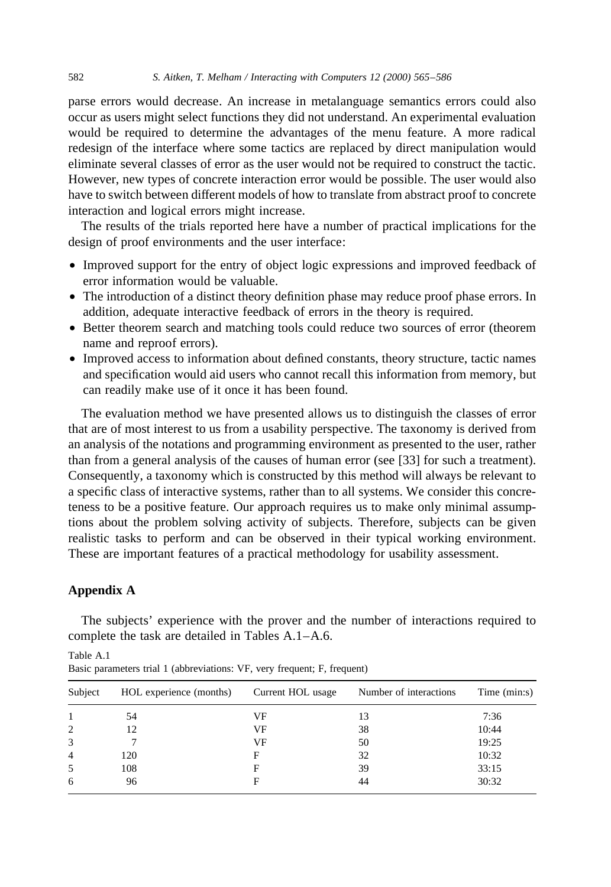parse errors would decrease. An increase in metalanguage semantics errors could also occur as users might select functions they did not understand. An experimental evaluation would be required to determine the advantages of the menu feature. A more radical redesign of the interface where some tactics are replaced by direct manipulation would eliminate several classes of error as the user would not be required to construct the tactic. However, new types of concrete interaction error would be possible. The user would also have to switch between different models of how to translate from abstract proof to concrete interaction and logical errors might increase.

The results of the trials reported here have a number of practical implications for the design of proof environments and the user interface:

- Improved support for the entry of object logic expressions and improved feedback of error information would be valuable.
- The introduction of a distinct theory definition phase may reduce proof phase errors. In addition, adequate interactive feedback of errors in the theory is required.
- Better theorem search and matching tools could reduce two sources of error (theorem name and reproof errors).
- Improved access to information about defined constants, theory structure, tactic names and specification would aid users who cannot recall this information from memory, but can readily make use of it once it has been found.

The evaluation method we have presented allows us to distinguish the classes of error that are of most interest to us from a usability perspective. The taxonomy is derived from an analysis of the notations and programming environment as presented to the user, rather than from a general analysis of the causes of human error (see [33] for such a treatment). Consequently, a taxonomy which is constructed by this method will always be relevant to a specific class of interactive systems, rather than to all systems. We consider this concreteness to be a positive feature. Our approach requires us to make only minimal assumptions about the problem solving activity of subjects. Therefore, subjects can be given realistic tasks to perform and can be observed in their typical working environment. These are important features of a practical methodology for usability assessment.

# **Appendix A**

The subjects' experience with the prover and the number of interactions required to complete the task are detailed in Tables A.1–A.6.

| Subject        | HOL experience (months) | Current HOL usage | Number of interactions | Time (min:s) |
|----------------|-------------------------|-------------------|------------------------|--------------|
|                | 54                      | VF                | 13                     | 7:36         |
| 2              | 12                      | VF                | 38                     | 10:44        |
| 3              |                         | VF                | 50                     | 19:25        |
| $\overline{4}$ | 120                     | F                 | 32                     | 10:32        |
| 5              | 108                     | F                 | 39                     | 33:15        |
| 6              | 96                      | F                 | 44                     | 30:32        |

Table A.1

Basic parameters trial 1 (abbreviations: VF, very frequent; F, frequent)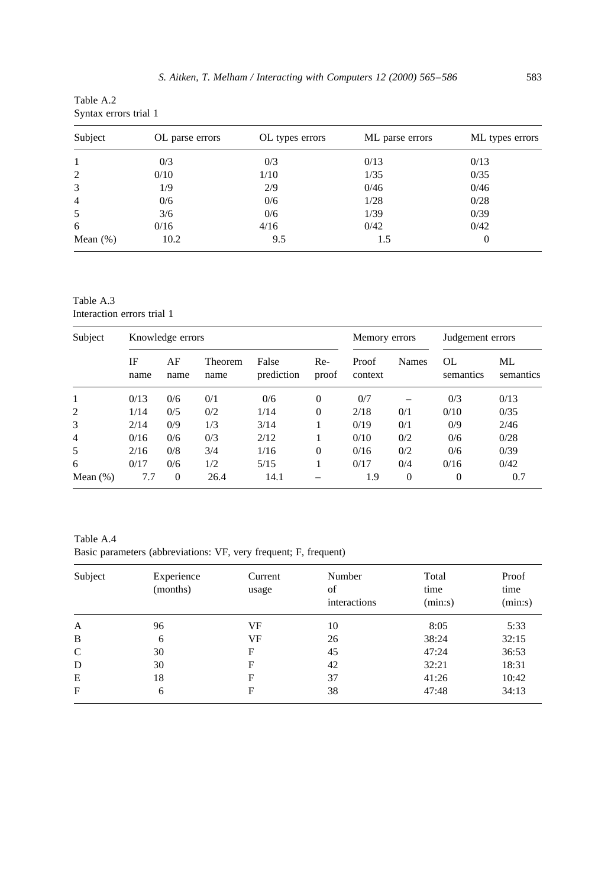| Syntax errors trial 1 |                 |                 |                 |                 |  |  |
|-----------------------|-----------------|-----------------|-----------------|-----------------|--|--|
| Subject               | OL parse errors | OL types errors | ML parse errors | ML types errors |  |  |
| 1                     | 0/3             | 0/3             | 0/13            | 0/13            |  |  |
| 2                     | 0/10            | 1/10            | 1/35            | 0/35            |  |  |
| 3                     | 1/9             | 2/9             | 0/46            | 0/46            |  |  |
| $\overline{4}$        | 0/6             | 0/6             | 1/28            | 0/28            |  |  |
| 5                     | 3/6             | 0/6             | 1/39            | 0/39            |  |  |
| 6                     | 0/16            | 4/16            | 0/42            | 0/42            |  |  |
| Mean $(\%)$           | 10.2            | 9.5             | 1.5             | 0               |  |  |

Table A.2

Table A.3 Interaction errors trial 1

| Subject        | Knowledge errors |            |                 |                     | Memory errors  |                  | Judgement errors |                 |                 |
|----------------|------------------|------------|-----------------|---------------------|----------------|------------------|------------------|-----------------|-----------------|
|                | ΙF<br>name       | AF<br>name | Theorem<br>name | False<br>prediction | $Re-$<br>proof | Proof<br>context | <b>Names</b>     | OL<br>semantics | ML<br>semantics |
| 1              | 0/13             | 0/6        | 0/1             | 0/6                 | $\Omega$       | 0/7              |                  | 0/3             | 0/13            |
| 2              | 1/14             | 0/5        | 0/2             | 1/14                | $\Omega$       | 2/18             | 0/1              | 0/10            | 0/35            |
| 3              | 2/14             | 0/9        | 1/3             | 3/14                |                | 0/19             | 0/1              | 0/9             | 2/46            |
| $\overline{4}$ | 0/16             | 0/6        | 0/3             | 2/12                |                | 0/10             | 0/2              | 0/6             | 0/28            |
| 5              | 2/16             | 0/8        | 3/4             | 1/16                | $\Omega$       | 0/16             | 0/2              | 0/6             | 0/39            |
| 6              | 0/17             | 0/6        | 1/2             | 5/15                |                | 0/17             | 0/4              | 0/16            | 0/42            |
| Mean $(\%)$    | 7.7              | $\Omega$   | 26.4            | 14.1                |                | 1.9              | $\Omega$         | 0               | 0.7             |

Table A.4 Basic parameters (abbreviations: VF, very frequent; F, frequent)

| Subject       | Experience<br>(months) | Current<br>usage | Number<br>οf<br>interactions | Total<br>time<br>(min:s) | Proof<br>time<br>(min:s) |
|---------------|------------------------|------------------|------------------------------|--------------------------|--------------------------|
| A             | 96                     | VF               | 10                           | 8:05                     | 5:33                     |
| B             | 6                      | VF               | 26                           | 38:24                    | 32:15                    |
| $\mathcal{C}$ | 30                     | F                | 45                           | 47:24                    | 36:53                    |
| D             | 30                     | F                | 42                           | 32:21                    | 18:31                    |
| E             | 18                     | F                | 37                           | 41:26                    | 10:42                    |
| $_{\rm F}$    | 6                      | F                | 38                           | 47:48                    | 34:13                    |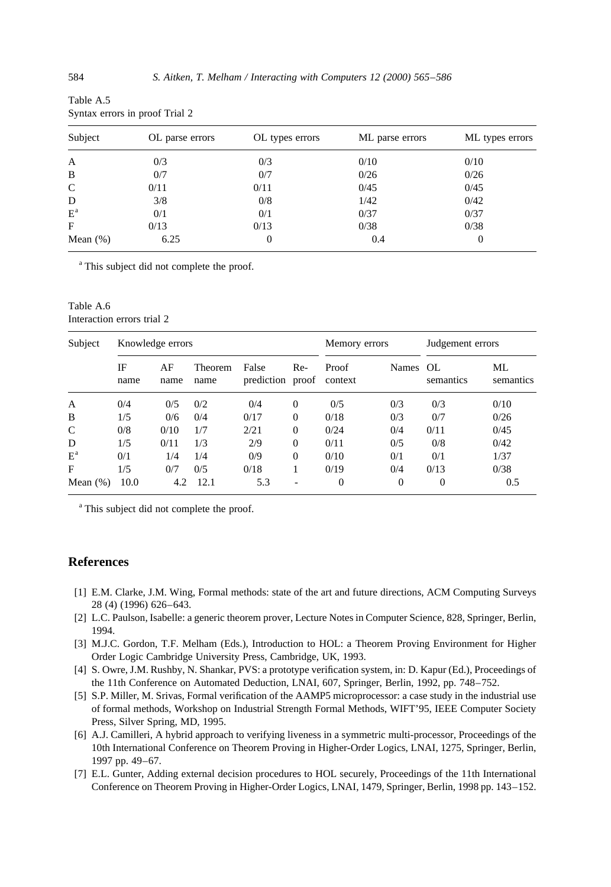| Subject      | OL parse errors | OL types errors | ML parse errors | ML types errors |
|--------------|-----------------|-----------------|-----------------|-----------------|
| А            | 0/3             | 0/3             | 0/10            | 0/10            |
| B            | 0/7             | 0/7             | 0/26            | 0/26            |
| $\mathsf{C}$ | 0/11            | 0/11            | 0/45            | 0/45            |
| D            | 3/8             | 0/8             | 1/42            | 0/42            |
| $E^a$        | 0/1             | 0/1             | 0/37            | 0/37            |
| F            | 0/13            | 0/13            | 0/38            | 0/38            |
| Mean $(\%)$  | 6.25            | 0               | 0.4             | 0               |

| Table A.5 |                                |  |
|-----------|--------------------------------|--|
|           | Syntax errors in proof Trial 2 |  |

<sup>a</sup> This subject did not complete the proof.

Table A.6 Interaction errors trial 2

| Subject       |            | Knowledge errors |                 |                           |          | Memory errors    |          | Judgement errors |                 |
|---------------|------------|------------------|-----------------|---------------------------|----------|------------------|----------|------------------|-----------------|
|               | ΙF<br>name | AF<br>name       | Theorem<br>name | False<br>prediction proof | Re-      | Proof<br>context | Names OL | semantics        | ML<br>semantics |
| A             | 0/4        | 0/5              | 0/2             | 0/4                       | $\theta$ | 0/5              | 0/3      | 0/3              | 0/10            |
| B             | 1/5        | 0/6              | 0/4             | 0/17                      | $\theta$ | 0/18             | 0/3      | 0/7              | 0/26            |
| $\mathcal{C}$ | 0/8        | 0/10             | 1/7             | 2/21                      | $\theta$ | 0/24             | 0/4      | 0/11             | 0/45            |
| D             | 1/5        | 0/11             | 1/3             | 2/9                       | $\theta$ | 0/11             | 0/5      | 0/8              | 0/42            |
| $E^a$         | 0/1        | 1/4              | 1/4             | 0/9                       | $\theta$ | 0/10             | 0/1      | 0/1              | 1/37            |
| F             | 1/5        | 0/7              | 0/5             | 0/18                      |          | 0/19             | 0/4      | 0/13             | 0/38            |
| Mean $(\%)$   | 10.0       | 4.2              | 12.1            | 5.3                       | ٠        | $\Omega$         | $\Omega$ | $\Omega$         | 0.5             |

<sup>a</sup> This subject did not complete the proof.

# **References**

- [1] E.M. Clarke, J.M. Wing, Formal methods: state of the art and future directions, ACM Computing Surveys 28 (4) (1996) 626–643.
- [2] L.C. Paulson, Isabelle: a generic theorem prover, Lecture Notes in Computer Science, 828, Springer, Berlin, 1994.
- [3] M.J.C. Gordon, T.F. Melham (Eds.), Introduction to HOL: a Theorem Proving Environment for Higher Order Logic Cambridge University Press, Cambridge, UK, 1993.
- [4] S. Owre, J.M. Rushby, N. Shankar, PVS: a prototype verification system, in: D. Kapur (Ed.), Proceedings of the 11th Conference on Automated Deduction, LNAI, 607, Springer, Berlin, 1992, pp. 748–752.
- [5] S.P. Miller, M. Srivas, Formal verification of the AAMP5 microprocessor: a case study in the industrial use of formal methods, Workshop on Industrial Strength Formal Methods, WIFT'95, IEEE Computer Society Press, Silver Spring, MD, 1995.
- [6] A.J. Camilleri, A hybrid approach to verifying liveness in a symmetric multi-processor, Proceedings of the 10th International Conference on Theorem Proving in Higher-Order Logics, LNAI, 1275, Springer, Berlin, 1997 pp. 49–67.
- [7] E.L. Gunter, Adding external decision procedures to HOL securely, Proceedings of the 11th International Conference on Theorem Proving in Higher-Order Logics, LNAI, 1479, Springer, Berlin, 1998 pp. 143–152.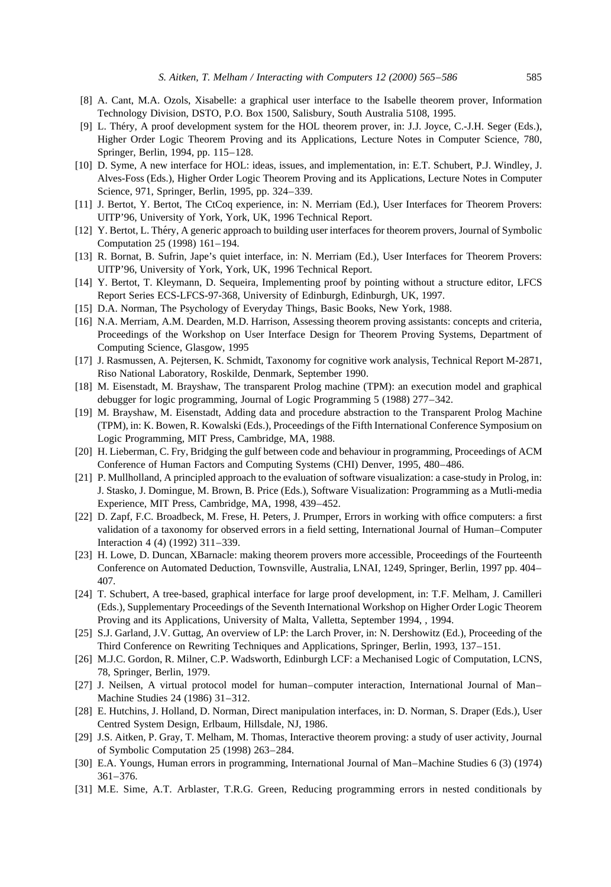- [8] A. Cant, M.A. Ozols, Xisabelle: a graphical user interface to the Isabelle theorem prover, Information Technology Division, DSTO, P.O. Box 1500, Salisbury, South Australia 5108, 1995.
- [9] L. The´ry, A proof development system for the HOL theorem prover, in: J.J. Joyce, C.-J.H. Seger (Eds.), Higher Order Logic Theorem Proving and its Applications, Lecture Notes in Computer Science, 780, Springer, Berlin, 1994, pp. 115–128.
- [10] D. Syme, A new interface for HOL: ideas, issues, and implementation, in: E.T. Schubert, P.J. Windley, J. Alves-Foss (Eds.), Higher Order Logic Theorem Proving and its Applications, Lecture Notes in Computer Science, 971, Springer, Berlin, 1995, pp. 324–339.
- [11] J. Bertot, Y. Bertot, The CtCoq experience, in: N. Merriam (Ed.), User Interfaces for Theorem Provers: UITP'96, University of York, York, UK, 1996 Technical Report.
- [12] Y. Bertot, L. Théry, A generic approach to building user interfaces for theorem provers, Journal of Symbolic Computation 25 (1998) 161–194.
- [13] R. Bornat, B. Sufrin, Jape's quiet interface, in: N. Merriam (Ed.), User Interfaces for Theorem Provers: UITP'96, University of York, York, UK, 1996 Technical Report.
- [14] Y. Bertot, T. Kleymann, D. Sequeira, Implementing proof by pointing without a structure editor, LFCS Report Series ECS-LFCS-97-368, University of Edinburgh, Edinburgh, UK, 1997.
- [15] D.A. Norman, The Psychology of Everyday Things, Basic Books, New York, 1988.
- [16] N.A. Merriam, A.M. Dearden, M.D. Harrison, Assessing theorem proving assistants: concepts and criteria, Proceedings of the Workshop on User Interface Design for Theorem Proving Systems, Department of Computing Science, Glasgow, 1995
- [17] J. Rasmussen, A. Pejtersen, K. Schmidt, Taxonomy for cognitive work analysis, Technical Report M-2871, Riso National Laboratory, Roskilde, Denmark, September 1990.
- [18] M. Eisenstadt, M. Brayshaw, The transparent Prolog machine (TPM): an execution model and graphical debugger for logic programming, Journal of Logic Programming 5 (1988) 277–342.
- [19] M. Brayshaw, M. Eisenstadt, Adding data and procedure abstraction to the Transparent Prolog Machine (TPM), in: K. Bowen, R. Kowalski (Eds.), Proceedings of the Fifth International Conference Symposium on Logic Programming, MIT Press, Cambridge, MA, 1988.
- [20] H. Lieberman, C. Fry, Bridging the gulf between code and behaviour in programming, Proceedings of ACM Conference of Human Factors and Computing Systems (CHI) Denver, 1995, 480–486.
- [21] P. Mullholland, A principled approach to the evaluation of software visualization: a case-study in Prolog, in: J. Stasko, J. Domingue, M. Brown, B. Price (Eds.), Software Visualization: Programming as a Mutli-media Experience, MIT Press, Cambridge, MA, 1998, 439–452.
- [22] D. Zapf, F.C. Broadbeck, M. Frese, H. Peters, J. Prumper, Errors in working with office computers: a first validation of a taxonomy for observed errors in a field setting, International Journal of Human–Computer Interaction 4 (4) (1992) 311–339.
- [23] H. Lowe, D. Duncan, XBarnacle: making theorem provers more accessible, Proceedings of the Fourteenth Conference on Automated Deduction, Townsville, Australia, LNAI, 1249, Springer, Berlin, 1997 pp. 404– 407.
- [24] T. Schubert, A tree-based, graphical interface for large proof development, in: T.F. Melham, J. Camilleri (Eds.), Supplementary Proceedings of the Seventh International Workshop on Higher Order Logic Theorem Proving and its Applications, University of Malta, Valletta, September 1994, , 1994.
- [25] S.J. Garland, J.V. Guttag, An overview of LP: the Larch Prover, in: N. Dershowitz (Ed.), Proceeding of the Third Conference on Rewriting Techniques and Applications, Springer, Berlin, 1993, 137–151.
- [26] M.J.C. Gordon, R. Milner, C.P. Wadsworth, Edinburgh LCF: a Mechanised Logic of Computation, LCNS, 78, Springer, Berlin, 1979.
- [27] J. Neilsen, A virtual protocol model for human–computer interaction, International Journal of Man– Machine Studies 24 (1986) 31–312.
- [28] E. Hutchins, J. Holland, D. Norman, Direct manipulation interfaces, in: D. Norman, S. Draper (Eds.), User Centred System Design, Erlbaum, Hillsdale, NJ, 1986.
- [29] J.S. Aitken, P. Gray, T. Melham, M. Thomas, Interactive theorem proving: a study of user activity, Journal of Symbolic Computation 25 (1998) 263–284.
- [30] E.A. Youngs, Human errors in programming, International Journal of Man–Machine Studies 6 (3) (1974) 361–376.
- [31] M.E. Sime, A.T. Arblaster, T.R.G. Green, Reducing programming errors in nested conditionals by